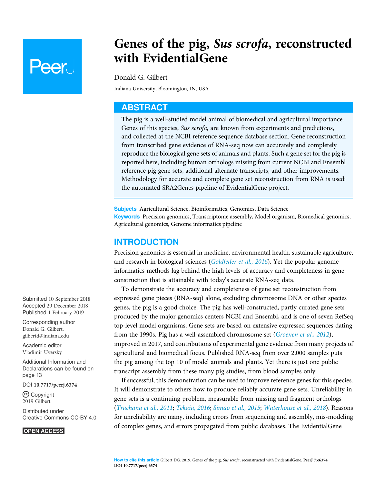# **Peer**

# Genes of the pig, Sus scrofa, reconstructed with EvidentialGene

Donald G. Gilbert

Indiana University, Bloomington, IN, USA

## ABSTRACT

The pig is a well-studied model animal of biomedical and agricultural importance. Genes of this species, Sus scrofa, are known from experiments and predictions, and collected at the NCBI reference sequence database section. Gene reconstruction from transcribed gene evidence of RNA-seq now can accurately and completely reproduce the biological gene sets of animals and plants. Such a gene set for the pig is reported here, including human orthologs missing from current NCBI and Ensembl reference pig gene sets, additional alternate transcripts, and other improvements. Methodology for accurate and complete gene set reconstruction from RNA is used: the automated SRA2Genes pipeline of EvidentialGene project.

Subjects Agricultural Science, Bioinformatics, Genomics, Data Science Keywords Precision genomics, Transcriptome assembly, Model organism, Biomedical genomics, Agricultural genomics, Genome informatics pipeline

# INTRODUCTION

Precision genomics is essential in medicine, environmental health, sustainable agriculture, and research in biological sciences ([Goldfeder et al., 2016](#page-14-0)). Yet the popular genome informatics methods lag behind the high levels of accuracy and completeness in gene construction that is attainable with today's accurate RNA-seq data.

To demonstrate the accuracy and completeness of gene set reconstruction from expressed gene pieces (RNA-seq) alone, excluding chromosome DNA or other species genes, the pig is a good choice. The pig has well-constructed, partly curated gene sets produced by the major genomics centers NCBI and Ensembl, and is one of seven RefSeq top-level model organisms. Gene sets are based on extensive expressed sequences dating from the 1990s. Pig has a well-assembled chromosome set ([Groenen et al., 2012](#page-14-1)), improved in 2017, and contributions of experimental gene evidence from many projects of agricultural and biomedical focus. Published RNA-seq from over 2,000 samples puts the pig among the top 10 of model animals and plants. Yet there is just one public transcript assembly from these many pig studies, from blood samples only.

If successful, this demonstration can be used to improve reference genes for this species. It will demonstrate to others how to produce reliably accurate gene sets. Unreliability in gene sets is a continuing problem, measurable from missing and fragment orthologs ([Trachana et al., 2011](#page-15-0); [Tekaia, 2016](#page-15-1); [Simao et al., 2015](#page-15-2); [Waterhouse et al., 2018](#page-15-3)). Reasons for unreliability are many, including errors from sequencing and assembly, mis-modeling of complex genes, and errors propagated from public databases. The EvidentialGene

Submitted 10 September 2018 Accepted 29 December 2018 Published 1 February 2019

Corresponding author Donald G. Gilbert, [gilbertd@indiana.edu](mailto:gilbertd@�indiana.�edu)

[Academic editor](https://peerj.com/academic-boards/editors/) [Vladimir Uversky](https://peerj.com/academic-boards/editors/)

[Additional Information and](#page-12-0) [Declarations can be found on](#page-12-0) [page 13](#page-12-0)

DOI [10.7717/peerj.6374](http://dx.doi.org/10.7717/peerj.6374)

(cc) Copyright 2019 Gilbert

[Distributed under](http://www.creativecommons.org/licenses/by/4.0/) [Creative Commons CC-BY 4.0](http://www.creativecommons.org/licenses/by/4.0/)

#### **OPEN ACCESS**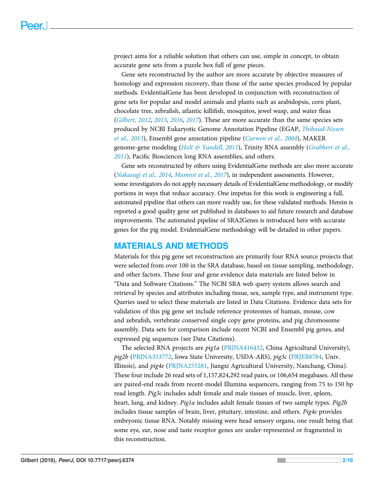project aims for a reliable solution that others can use, simple in concept, to obtain accurate gene sets from a puzzle box full of gene pieces.

Gene sets reconstructed by the author are more accurate by objective measures of homology and expression recovery, than those of the same species produced by popular methods. EvidentialGene has been developed in conjunction with reconstruction of gene sets for popular and model animals and plants such as arabidopsis, corn plant, chocolate tree, zebrafish, atlantic killifish, mosquitos, jewel wasp, and water fleas ([Gilbert, 2012](#page-13-0), [2013](#page-13-1), [2016](#page-13-2), [2017](#page-14-2)). These are more accurate than the same species sets produced by NCBI Eukaryotic Genome Annotation Pipeline (EGAP, [Thibaud-Nissen](#page-15-4) [et al., 2013](#page-15-4)), Ensembl gene annotation pipeline ([Curwen et al., 2004](#page-13-3)), MAKER genome-gene modeling ([Holt & Yandell, 2011](#page-14-3)), Trinity RNA assembly ([Grabherr et al.,](#page-14-4) [2011](#page-14-4)), Pacific Biosciences long RNA assemblies, and others.

Gene sets reconstructed by others using EvidentialGene methods are also more accurate ([Nakasugi et al., 2014](#page-14-5), [Mamrot et al., 2017](#page-14-6)), in independent assessments. However, some investigators do not apply necessary details of EvidentialGene methodology, or modify portions in ways that reduce accuracy. One impetus for this work is engineering a full, automated pipeline that others can more readily use, for these validated methods. Herein is reported a good quality gene set published in databases to aid future research and database improvements. The automated pipeline of SRA2Genes is introduced here with accurate genes for the pig model. EvidentialGene methodology will be detailed in other papers.

## MATERIALS AND METHODS

Materials for this pig gene set reconstruction are primarily four RNA source projects that were selected from over 100 in the SRA database, based on tissue sampling, methodology, and other factors. These four and gene evidence data materials are listed below in "Data and Software Citations." The NCBI SRA web query system allows search and retrieval by species and attributes including tissue, sex, sample type, and instrument type. Queries used to select these materials are listed in Data Citations. Evidence data sets for validation of this pig gene set include reference proteomes of human, mouse, cow and zebrafish, vertebrate conserved single copy gene proteins, and pig chromosome assembly. Data sets for comparison include recent NCBI and Ensembl pig genes, and expressed pig sequences (see Data Citations).

The selected RNA projects are pig1a ([PRJNA416432](https://www.ncbi.nlm.nih.gov/bioproject/?term=PRJNA416432), China Agricultural University), pig2b [\(PRJNA353772,](https://www.ncbi.nlm.nih.gov/bioproject/?term=PRJNA353772) Iowa State University, USDA-ARS), pig3c ([PRJEB8784,](https://www.ncbi.nlm.nih.gov/bioproject/?term=PRJEB8784) Univ. Illinois), and pig4e ([PRJNA255281](https://www.ncbi.nlm.nih.gov/bioproject/?term=PRJNA255281), Jiangxi Agricultural University, Nanchang, China). These four include 26 read sets of 1,157,824,292 read pairs, or 106,654 megabases. All these are paired-end reads from recent-model Illumina sequencers, ranging from 75 to 150 bp read length. Pig3c includes adult female and male tissues of muscle, liver, spleen, heart, lung, and kidney. Pig1a includes adult female tissues of two sample types. Pig2b includes tissue samples of brain, liver, pituitary, intestine, and others. Pig4e provides embryonic tissue RNA. Notably missing were head sensory organs, one result being that some eye, ear, nose and taste receptor genes are under-represented or fragmented in this reconstruction.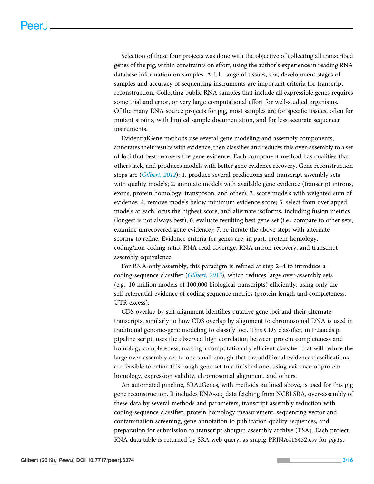Selection of these four projects was done with the objective of collecting all transcribed genes of the pig, within constraints on effort, using the author's experience in reading RNA database information on samples. A full range of tissues, sex, development stages of samples and accuracy of sequencing instruments are important criteria for transcript reconstruction. Collecting public RNA samples that include all expressible genes requires some trial and error, or very large computational effort for well-studied organisms. Of the many RNA source projects for pig, most samples are for specific tissues, often for mutant strains, with limited sample documentation, and for less accurate sequencer instruments.

EvidentialGene methods use several gene modeling and assembly components, annotates their results with evidence, then classifies and reduces this over-assembly to a set of loci that best recovers the gene evidence. Each component method has qualities that others lack, and produces models with better gene evidence recovery. Gene reconstruction steps are ([Gilbert, 2012](#page-13-0)): 1. produce several predictions and transcript assembly sets with quality models; 2. annotate models with available gene evidence (transcript introns, exons, protein homology, transposon, and other); 3. score models with weighted sum of evidence; 4. remove models below minimum evidence score; 5. select from overlapped models at each locus the highest score, and alternate isoforms, including fusion metrics (longest is not always best); 6. evaluate resulting best gene set (i.e., compare to other sets, examine unrecovered gene evidence); 7. re-iterate the above steps with alternate scoring to refine. Evidence criteria for genes are, in part, protein homology, coding/non-coding ratio, RNA read coverage, RNA intron recovery, and transcript assembly equivalence.

For RNA-only assembly, this paradigm is refined at step 2–4 to introduce a coding-sequence classifier ([Gilbert, 2013](#page-13-1)), which reduces large over-assembly sets (e.g., 10 million models of 100,000 biological transcripts) efficiently, using only the self-referential evidence of coding sequence metrics (protein length and completeness, UTR excess).

CDS overlap by self-alignment identifies putative gene loci and their alternate transcripts, similarly to how CDS overlap by alignment to chromosomal DNA is used in traditional genome-gene modeling to classify loci. This CDS classifier, in tr2aacds.pl pipeline script, uses the observed high correlation between protein completeness and homology completeness, making a computationally efficient classifier that will reduce the large over-assembly set to one small enough that the additional evidence classifications are feasible to refine this rough gene set to a finished one, using evidence of protein homology, expression validity, chromosomal alignment, and others.

An automated pipeline, SRA2Genes, with methods outlined above, is used for this pig gene reconstruction. It includes RNA-seq data fetching from NCBI SRA, over-assembly of these data by several methods and parameters, transcript assembly reduction with coding-sequence classifier, protein homology measurement, sequencing vector and contamination screening, gene annotation to publication quality sequences, and preparation for submission to transcript shotgun assembly archive (TSA). Each project RNA data table is returned by SRA web query, as srapig-PRJNA416432.csv for pig1a.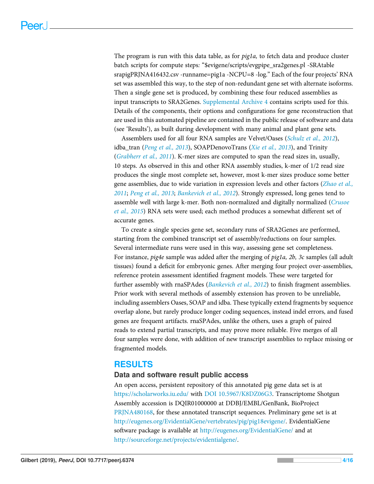The program is run with this data table, as for *pig1a*, to fetch data and produce cluster batch scripts for compute steps: "\$evigene/scripts/evgpipe\_sra2genes.pl -SRAtable srapigPRJNA416432.csv -runname=pig1a -NCPU=8 -log." Each of the four projects' RNA set was assembled this way, to the step of non-redundant gene set with alternate isoforms. Then a single gene set is produced, by combining these four reduced assemblies as input transcripts to SRA2Genes. [Supplemental Archive 4](http://dx.doi.org/10.7717/peerj.6374/supp-4) contains scripts used for this. Details of the components, their options and configurations for gene reconstruction that are used in this automated pipeline are contained in the public release of software and data (see 'Results'), as built during development with many animal and plant gene sets.

Assemblers used for all four RNA samples are Velvet/Oases ([Schulz et al., 2012](#page-14-7)), idba\_tran ([Peng et al., 2013](#page-14-8)), SOAPDenovoTrans ([Xie et al., 2013](#page-15-5)), and Trinity ([Grabherr et al., 2011](#page-14-4)). K-mer sizes are computed to span the read sizes in, usually, 10 steps. As observed in this and other RNA assembly studies, k-mer of 1/2 read size produces the single most complete set, however, most k-mer sizes produce some better gene assemblies, due to wide variation in expression levels and other factors ([Zhao et al.,](#page-15-6) [2011](#page-15-6); [Peng et al., 2013](#page-14-8); [Bankevich et al., 2012](#page-13-4)). Strongly expressed, long genes tend to assemble well with large k-mer. Both non-normalized and digitally normalized ([Crusoe](#page-13-5) [et al., 2015](#page-13-5)) RNA sets were used; each method produces a somewhat different set of accurate genes.

To create a single species gene set, secondary runs of SRA2Genes are performed, starting from the combined transcript set of assembly/reductions on four samples. Several intermediate runs were used in this way, assessing gene set completeness. For instance, *pig4e* sample was added after the merging of *pig1a*, 2b, 3c samples (all adult tissues) found a deficit for embryonic genes. After merging four project over-assemblies, reference protein assessment identified fragment models. These were targeted for further assembly with rnaSPAdes (*[Bankevich et al., 2012](#page-13-4)*) to finish fragment assemblies. Prior work with several methods of assembly extension has proven to be unreliable, including assemblers Oases, SOAP and idba. These typically extend fragments by sequence overlap alone, but rarely produce longer coding sequences, instead indel errors, and fused genes are frequent artifacts. rnaSPAdes, unlike the others, uses a graph of paired reads to extend partial transcripts, and may prove more reliable. Five merges of all four samples were done, with addition of new transcript assemblies to replace missing or fragmented models.

# RESULTS

#### Data and software result public access

An open access, persistent repository of this annotated pig gene data set is at <https://scholarworks.iu.edu/> with [DOI 10.5967/K8DZ06G3.](http://dx.doi.org/10.5967/K8DZ06G3) Transcriptome Shotgun Assembly accession is DQIR01000000 at DDBJ/EMBL/GenBank, BioProject [PRJNA480168](https://www.ncbi.nlm.nih.gov/bioproject/?term=PRJNA480168), for these annotated transcript sequences. Preliminary gene set is at [http://eugenes.org/EvidentialGene/vertebrates/pig/pig18evigene/.](http://eugenes.org/EvidentialGene/vertebrates/pig/pig18evigene/) EvidentialGene software package is available at <http://eugenes.org/EvidentialGene/> and at <http://sourceforge.net/projects/evidentialgene/>.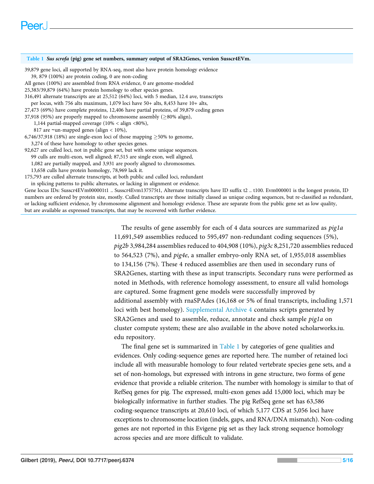#### <span id="page-4-0"></span>Table 1 Sus scrofa (pig) gene set numbers, summary output of SRA2Genes, version Susscr4EVm. 39,879 gene loci, all supported by RNA-seq, most also have protein homology evidence 39, 879 (100%) are protein coding, 0 are non-coding All genes (100%) are assembled from RNA evidence, 0 are genome-modeled 25,383/39,879 (64%) have protein homology to other species genes. 316,491 alternate transcripts are at 25,512 (64%) loci, with 5 median, 12.4 ave, transcripts per locus, with 756 alts maximum, 1,079 loci have 50+ alts, 8,453 have 10+ alts, 27,473 (69%) have complete proteins, 12,406 have partial proteins, of 39,879 coding genes 37,918 (95%) are properly mapped to chromosome assembly ( $\geq$ 80% align), 1,144 partial-mapped coverage (10% < align <80%), 817 are ∼un-mapped genes (align < 10%), 6,746/37,918 (18%) are single-exon loci of those mapping  $\geq$  50% to genome, 3,274 of these have homology to other species genes. 92,627 are culled loci, not in public gene set, but with some unique sequences. 99 culls are multi-exon, well aligned; 87,515 are single exon, well aligned, 1,082 are partially mapped, and 3,931 are poorly aligned to chromosomes. 13,658 culls have protein homology, 78,969 lack it. 175,793 are culled alternate transcripts, at both public and culled loci, redundant in splicing patterns to public alternates, or lacking in alignment or evidence. Gene locus IDs: Susscr4EVm000001t1 .. Susscr4Evm137575t1, Alternate transcripts have ID suffix t2 .. t100. Evm000001 is the longest protein, ID numbers are ordered by protein size, mostly. Culled transcripts are those initially classed as unique coding sequences, but re-classified as redundant, or lacking sufficient evidence, by chromosome alignment and homology evidence. These are separate from the public gene set as low quality, but are available as expressed transcripts, that may be recovered with further evidence.

The results of gene assembly for each of 4 data sources are summarized as pig1a 11,691,549 assemblies reduced to 595,497 non-redundant coding sequences (5%), pig2b 3,984,284 assemblies reduced to 404,908 (10%), pig3c 8,251,720 assemblies reduced to 564,523 (7%), and pig4e, a smaller embryo-only RNA set, of 1,955,018 assemblies to 134,156 (7%). These 4 reduced assemblies are then used in secondary runs of SRA2Genes, starting with these as input transcripts. Secondary runs were performed as noted in Methods, with reference homology assessment, to ensure all valid homologs are captured. Some fragment gene models were successfully improved by additional assembly with rnaSPAdes (16,168 or 5% of final transcripts, including 1,571 loci with best homology). [Supplemental Archive 4](http://dx.doi.org/10.7717/peerj.6374/supp-4) contains scripts generated by SRA2Genes and used to assemble, reduce, annotate and check sample pig1a on cluster compute system; these are also available in the above noted scholarworks.iu. edu repository.

The final gene set is summarized in [Table 1](#page-4-0) by categories of gene qualities and evidences. Only coding-sequence genes are reported here. The number of retained loci include all with measurable homology to four related vertebrate species gene sets, and a set of non-homologs, but expressed with introns in gene structure, two forms of gene evidence that provide a reliable criterion. The number with homology is similar to that of RefSeq genes for pig. The expressed, multi-exon genes add 15,000 loci, which may be biologically informative in further studies. The pig RefSeq gene set has 63,586 coding-sequence transcripts at 20,610 loci, of which 5,177 CDS at 5,056 loci have exceptions to chromosome location (indels, gaps, and RNA/DNA mismatch). Non-coding genes are not reported in this Evigene pig set as they lack strong sequence homology across species and are more difficult to validate.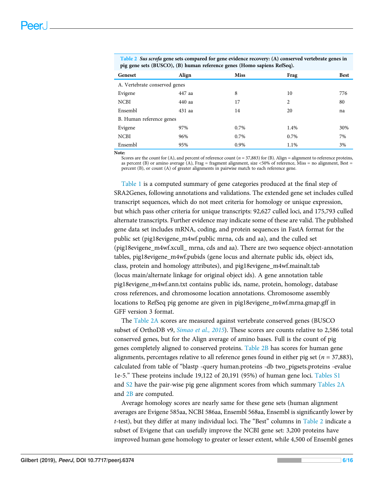| Geneset                       | Align  | <b>Miss</b> | Frag           | <b>Best</b> |  |  |  |  |
|-------------------------------|--------|-------------|----------------|-------------|--|--|--|--|
| A. Vertebrate conserved genes |        |             |                |             |  |  |  |  |
| Evigene                       | 447 aa | 8           | 10             | 776         |  |  |  |  |
| <b>NCBI</b>                   | 440 aa | 17          | $\overline{c}$ | 80          |  |  |  |  |
| Ensembl                       | 431 aa | 14          | 20             | na          |  |  |  |  |
| B. Human reference genes      |        |             |                |             |  |  |  |  |
| Evigene                       | 97%    | 0.7%        | 1.4%           | 30%         |  |  |  |  |
| <b>NCBI</b>                   | 96%    | 0.7%        | 0.7%           | 7%          |  |  |  |  |
| Ensembl                       | 95%    | 0.9%        | 1.1%           | 3%          |  |  |  |  |

<span id="page-5-0"></span>Table 2 Sus scrofa gene sets compared for gene evidence recovery: (A) conserved vertebrate genes in pig gene sets (BUSCO), (B) human reference genes (Homo sapiens RefSeq).

Note:

Scores are the count for (A), and percent of reference count ( $n = 37,883$ ) for (B). Align = alignment to reference proteins, as percent (B) or amino average (A), Frag = fragment alignment, size <50% of reference, Miss = no alignment, Best = percent (B), or count (A) of greater alignments in pairwise match to each reference gene.

[Table 1](#page-4-0) is a computed summary of gene categories produced at the final step of SRA2Genes, following annotations and validations. The extended gene set includes culled transcript sequences, which do not meet criteria for homology or unique expression, but which pass other criteria for unique transcripts: 92,627 culled loci, and 175,793 culled alternate transcripts. Further evidence may indicate some of these are valid. The published gene data set includes mRNA, coding, and protein sequences in FastA format for the public set (pig18evigene\_m4wf.public mrna, cds and aa), and the culled set (pig18evigene\_m4wf.xcull\_ mrna, cds and aa). There are two sequence object-annotation tables, pig18evigene\_m4wf.pubids (gene locus and alternate public ids, object ids, class, protein and homology attributes), and pig18evigene\_m4wf.mainalt.tab (locus main/alternate linkage for original object ids). A gene annotation table pig18evigene\_m4wf.ann.txt contains public ids, name, protein, homology, database cross references, and chromosome location annotations. Chromosome assembly locations to RefSeq pig genome are given in pig18evigene\_m4wf.mrna.gmap.gff in GFF version 3 format.

The [Table 2A](#page-5-0) scores are measured against vertebrate conserved genes (BUSCO subset of OrthoDB v9, *Simao et al.*, 2015). These scores are counts relative to 2,586 total conserved genes, but for the Align average of amino bases. Full is the count of pig genes completely aligned to conserved proteins. [Table 2B](#page-5-0) has scores for human gene alignments, percentages relative to all reference genes found in either pig set ( $n = 37,883$ ), calculated from table of "blastp -query human.proteins -db two\_pigsets.proteins -evalue 1e-5." These proteins include 19,122 of 20,191 (95%) of human gene loci. [Tables S1](http://dx.doi.org/10.7717/peerj.6374/supp-1) and [S2](http://dx.doi.org/10.7717/peerj.6374/supp-2) have the pair-wise pig gene alignment scores from which summary [Tables 2A](#page-5-0) and [2B](#page-5-0) are computed.

Average homology scores are nearly same for these gene sets (human alignment averages are Evigene 585aa, NCBI 586aa, Ensembl 568aa, Ensembl is significantly lower by t-test), but they differ at many individual loci. The "Best" columns in [Table 2](#page-5-0) indicate a subset of Evigene that can usefully improve the NCBI gene set: 3,200 proteins have improved human gene homology to greater or lesser extent, while 4,500 of Ensembl genes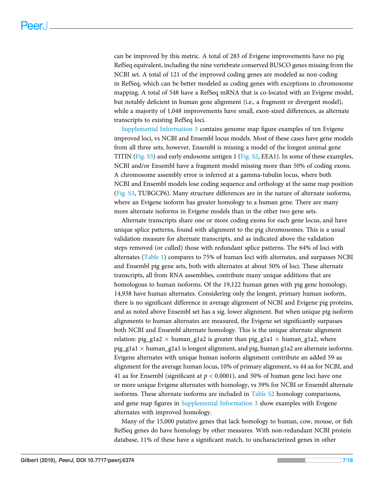can be improved by this metric. A total of 283 of Evigene improvements have no pig RefSeq equivalent, including the nine vertebrate conserved BUSCO genes missing from the NCBI set. A total of 121 of the improved coding genes are modeled as non-coding in RefSeq, which can be better modeled as coding genes with exceptions in chromosome mapping. A total of 548 have a RefSeq mRNA that is co-located with an Evigene model, but notably deficient in human gene alignment (i.e., a fragment or divergent model), while a majority of 1,048 improvements have small, exon-sized differences, as alternate transcripts to existing RefSeq loci.

[Supplemental Information 3](http://dx.doi.org/10.7717/peerj.6374/supp-3) contains genome map figure examples of ten Evigene improved loci, vs NCBI and Ensembl locus models. Most of these cases have gene models from all three sets, however, Ensembl is missing a model of the longest animal gene TITIN [\(Fig. S5](http://dx.doi.org/10.7717/peerj.6374/supp-3)) and early endosome antigen 1 ([Fig. S2,](http://dx.doi.org/10.7717/peerj.6374/supp-3) EEA1). In some of these examples, NCBI and/or Ensembl have a fragment model missing more than 50% of coding exons. A chromosome assembly error is inferred at a gamma-tubulin locus, where both NCBI and Ensembl models lose coding sequence and orthology at the same map position ([Fig. S3](http://dx.doi.org/10.7717/peerj.6374/supp-3), TUBGCP6). Many structure differences are in the nature of alternate isoforms, where an Evigene isoform has greater homology to a human gene. There are many more alternate isoforms in Evigene models than in the other two gene sets.

Alternate transcripts share one or more coding exons for each gene locus, and have unique splice patterns, found with alignment to the pig chromosomes. This is a usual validation measure for alternate transcripts, and as indicated above the validation steps removed (or culled) those with redundant splice patterns. The 64% of loci with alternates ([Table 1](#page-4-0)) compares to 75% of human loci with alternates, and surpasses NCBI and Ensembl pig gene sets, both with alternates at about 50% of loci. These alternate transcripts, all from RNA assemblies, contribute many unique additions that are homologous to human isoforms. Of the 19,122 human genes with pig gene homology, 14,938 have human alternates. Considering only the longest, primary human isoform, there is no significant difference in average alignment of NCBI and Evigene pig proteins, and as noted above Ensembl set has a sig. lower alignment. But when unique pig isoform alignments to human alternates are measured, the Evigene set significantly surpasses both NCBI and Ensembl alternate homology. This is the unique alternate alignment relation: pig\_g1a2  $\times$  human\_g1a2 is greater than pig\_g1a1  $\times$  human\_g1a2, where pig\_g1a1  $\times$  human\_g1a1 is longest alignment, and pig, human g1a2 are alternate isoforms. Evigene alternates with unique human isoform alignment contribute an added 59 aa alignment for the average human locus, 10% of primary alignment, vs 44 aa for NCBI, and 41 aa for Ensembl (significant at  $p < 0.0001$ ), and 50% of human gene loci have one or more unique Evigene alternates with homology, vs 39% for NCBI or Ensembl alternate isoforms. These alternate isoforms are included in [Table S2](http://dx.doi.org/10.7717/peerj.6374/supp-2) homology comparisons, and gene map figures in [Supplemental Information 3](http://dx.doi.org/10.7717/peerj.6374/supp-3) show examples with Evigene alternates with improved homology.

Many of the 15,000 putative genes that lack homology to human, cow, mouse, or fish RefSeq genes do have homology by other measures. With non-redundant NCBI protein database, 11% of these have a significant match, to uncharacterized genes in other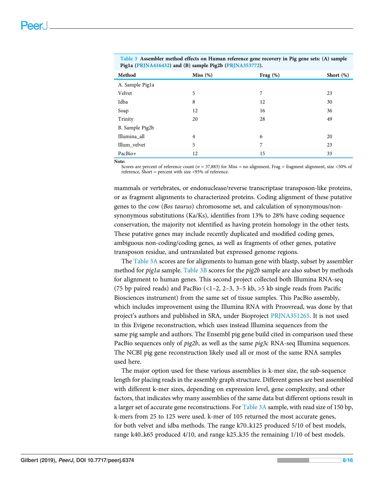| Method          | Miss $(\%)$    | Frag (%) | Short $(\%)$ |
|-----------------|----------------|----------|--------------|
| A. Sample Pig1a |                |          |              |
| Velvet          | 5              | 7        | 23           |
| Idba            | 8              | 12       | 30           |
| Soap            | 12             | 16       | 36           |
| Trinity         | 20             | 28       | 49           |
| B. Sample Pig2b |                |          |              |
| Illumina_all    | $\overline{4}$ | 6        | 20           |
| Illum_velvet    | 5              | 7        | 23           |
| PacBio+         | 12             | 15       | 33           |
| Note:           |                |          |              |

<span id="page-7-0"></span>Table 3 Assembler method effects on Human reference gene recovery in Pig gene sets: (A) sample Pig1a ([PRJNA416432\)](https://www.ncbi.nlm.nih.gov/bioproject/?term=PRJNA416432) and (B) sample Pig2b ([PRJNA353772](https://www.ncbi.nlm.nih.gov/bioproject/?term=PRJNA353772)).

Scores are percent of reference count ( $n = 37,883$ ) for Miss = no alignment, Frag = fragment alignment, size <50% of reference, Short = percent with size <95% of reference.

mammals or vertebrates, or endonuclease/reverse transcriptase transposon-like proteins, or as fragment alignments to characterized proteins. Coding alignment of these putative genes to the cow (Bos taurus) chromosome set, and calculation of synonymous/nonsynonymous substitutions (Ka/Ks), identifies from 13% to 28% have coding sequence conservation, the majority not identified as having protein homology in the other tests. These putative genes may include recently duplicated and modified coding genes, ambiguous non-coding/coding genes, as well as fragments of other genes, putative transposon residue, and untranslated but expressed genome regions.

The [Table 3A](#page-7-0) scores are for alignments to human gene with blastp, subset by assembler method for *pig1a* sample. [Table 3B](#page-7-0) scores for the *pig2b* sample are also subset by methods for alignment to human genes. This second project collected both Illumina RNA-seq (75 bp paired reads) and PacBio (<1–2, 2–3, 3–5 kb, >5 kb single reads from Pacific Biosciences instrument) from the same set of tissue samples. This PacBio assembly, which includes improvement using the Illumina RNA with Proovread, was done by that project's authors and published in SRA, under Bioproject [PRJNA351265.](https://www.ncbi.nlm.nih.gov/bioproject/?term=PRJNA351265) It is not used in this Evigene reconstruction, which uses instead Illumina sequences from the same pig sample and authors. The Ensembl pig gene build cited in comparison used these PacBio sequences only of  $pig2b$ , as well as the same  $pi3c$  RNA-seq Illumina sequences. The NCBI pig gene reconstruction likely used all or most of the same RNA samples used here.

The major option used for these various assemblies is k-mer size, the sub-sequence length for placing reads in the assembly graph structure. Different genes are best assembled with different k-mer sizes, depending on expression level, gene complexity, and other factors, that indicates why many assemblies of the same data but different options result in a larger set of accurate gene reconstructions. For [Table 3A](#page-7-0) sample, with read size of 150 bp, k-mers from 25 to 125 were used. k-mer of 105 returned the most accurate genes, for both velvet and idba methods. The range k70..k125 produced 5/10 of best models, range k40..k65 produced 4/10, and range k25..k35 the remaining 1/10 of best models.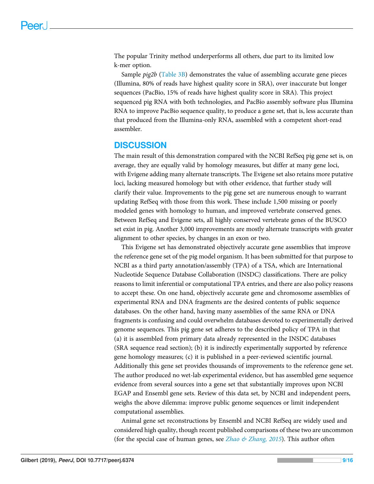The popular Trinity method underperforms all others, due part to its limited low k-mer option.

Sample *pig2b* [\(Table 3B](#page-7-0)) demonstrates the value of assembling accurate gene pieces (Illumina, 80% of reads have highest quality score in SRA), over inaccurate but longer sequences (PacBio, 15% of reads have highest quality score in SRA). This project sequenced pig RNA with both technologies, and PacBio assembly software plus Illumina RNA to improve PacBio sequence quality, to produce a gene set, that is, less accurate than that produced from the Illumina-only RNA, assembled with a competent short-read assembler.

# **DISCUSSION**

The main result of this demonstration compared with the NCBI RefSeq pig gene set is, on average, they are equally valid by homology measures, but differ at many gene loci, with Evigene adding many alternate transcripts. The Evigene set also retains more putative loci, lacking measured homology but with other evidence, that further study will clarify their value. Improvements to the pig gene set are numerous enough to warrant updating RefSeq with those from this work. These include 1,500 missing or poorly modeled genes with homology to human, and improved vertebrate conserved genes. Between RefSeq and Evigene sets, all highly conserved vertebrate genes of the BUSCO set exist in pig. Another 3,000 improvements are mostly alternate transcripts with greater alignment to other species, by changes in an exon or two.

This Evigene set has demonstrated objectively accurate gene assemblies that improve the reference gene set of the pig model organism. It has been submitted for that purpose to NCBI as a third party annotation/assembly (TPA) of a TSA, which are International Nucleotide Sequence Database Collaboration (INSDC) classifications. There are policy reasons to limit inferential or computational TPA entries, and there are also policy reasons to accept these. On one hand, objectively accurate gene and chromosome assemblies of experimental RNA and DNA fragments are the desired contents of public sequence databases. On the other hand, having many assemblies of the same RNA or DNA fragments is confusing and could overwhelm databases devoted to experimentally derived genome sequences. This pig gene set adheres to the described policy of TPA in that (a) it is assembled from primary data already represented in the INSDC databases (SRA sequence read section); (b) it is indirectly experimentally supported by reference gene homology measures; (c) it is published in a peer-reviewed scientific journal. Additionally this gene set provides thousands of improvements to the reference gene set. The author produced no wet-lab experimental evidence, but has assembled gene sequence evidence from several sources into a gene set that substantially improves upon NCBI EGAP and Ensembl gene sets. Review of this data set, by NCBI and independent peers, weighs the above dilemma: improve public genome sequences or limit independent computational assemblies.

Animal gene set reconstructions by Ensembl and NCBI RefSeq are widely used and considered high quality, though recent published comparisons of these two are uncommon (for the special case of human genes, see *Zhao & Zhang*, 2015). This author often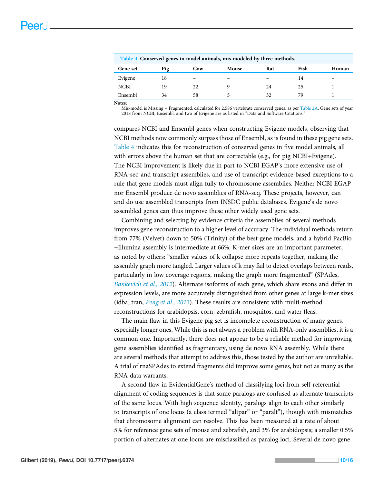<span id="page-9-0"></span>

| Table 4 Conserved genes in model animals, mis-modeled by three methods. |     |     |       |     |      |       |  |  |
|-------------------------------------------------------------------------|-----|-----|-------|-----|------|-------|--|--|
| Gene set                                                                | Pig | Cow | Mouse | Rat | Fish | Human |  |  |
| Evigene                                                                 | 18  | -   |       |     | 14   |       |  |  |
| <b>NCBI</b>                                                             | 19  | 22  |       | 24  | 25   |       |  |  |
| Ensembl                                                                 | 34  | 58  |       | 32  | 79   |       |  |  |

Notes:

Mis-model is Missing + Fragmented, calculated for 2,586 vertebrate conserved genes, as per [Table 2A](#page-5-0). Gene sets of year 2018 from NCBI, Ensembl, and two of Evigene are as listed in "Data and Software Citations."

compares NCBI and Ensembl genes when constructing Evigene models, observing that NCBI methods now commonly surpass those of Ensembl, as is found in these pig gene sets. [Table 4](#page-9-0) indicates this for reconstruction of conserved genes in five model animals, all with errors above the human set that are correctable (e.g., for pig NCBI+Evigene). The NCBI improvement is likely due in part to NCBI EGAP's more extensive use of RNA-seq and transcript assemblies, and use of transcript evidence-based exceptions to a rule that gene models must align fully to chromosome assemblies. Neither NCBI EGAP nor Ensembl produce de novo assemblies of RNA-seq. These projects, however, can and do use assembled transcripts from INSDC public databases. Evigene's de novo assembled genes can thus improve these other widely used gene sets.

Combining and selecting by evidence criteria the assemblies of several methods improves gene reconstruction to a higher level of accuracy. The individual methods return from 77% (Velvet) down to 50% (Trinity) of the best gene models, and a hybrid PacBio +Illumina assembly is intermediate at 66%. K-mer sizes are an important parameter, as noted by others: "smaller values of k collapse more repeats together, making the assembly graph more tangled. Larger values of k may fail to detect overlaps between reads, particularly in low coverage regions, making the graph more fragmented" (SPAdes, [Bankevich et al., 2012](#page-13-4)). Alternate isoforms of each gene, which share exons and differ in expression levels, are more accurately distinguished from other genes at large k-mer sizes (idba\_tran, [Peng et al., 2013](#page-14-8)). These results are consistent with multi-method reconstructions for arabidopsis, corn, zebrafish, mosquitos, and water fleas.

The main flaw in this Evigene pig set is incomplete reconstruction of many genes, especially longer ones. While this is not always a problem with RNA-only assemblies, it is a common one. Importantly, there does not appear to be a reliable method for improving gene assemblies identified as fragmentary, using de novo RNA assembly. While there are several methods that attempt to address this, those tested by the author are unreliable. A trial of rnaSPAdes to extend fragments did improve some genes, but not as many as the RNA data warrants.

A second flaw in EvidentialGene's method of classifying loci from self-referential alignment of coding sequences is that some paralogs are confused as alternate transcripts of the same locus. With high sequence identity, paralogs align to each other similarly to transcripts of one locus (a class termed "altpar" or "paralt"), though with mismatches that chromosome alignment can resolve. This has been measured at a rate of about 5% for reference gene sets of mouse and zebrafish, and 3% for arabidopsis; a smaller 0.5% portion of alternates at one locus are misclassified as paralog loci. Several de novo gene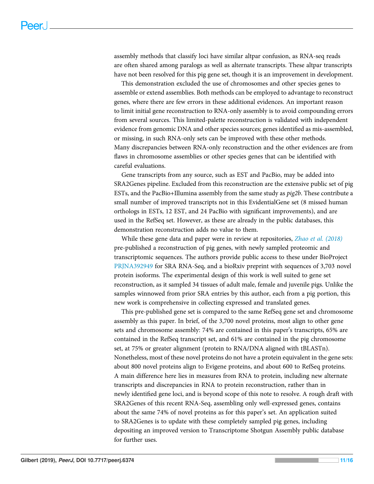assembly methods that classify loci have similar altpar confusion, as RNA-seq reads are often shared among paralogs as well as alternate transcripts. These altpar transcripts have not been resolved for this pig gene set, though it is an improvement in development.

This demonstration excluded the use of chromosomes and other species genes to assemble or extend assemblies. Both methods can be employed to advantage to reconstruct genes, where there are few errors in these additional evidences. An important reason to limit initial gene reconstruction to RNA-only assembly is to avoid compounding errors from several sources. This limited-palette reconstruction is validated with independent evidence from genomic DNA and other species sources; genes identified as mis-assembled, or missing, in such RNA-only sets can be improved with these other methods. Many discrepancies between RNA-only reconstruction and the other evidences are from flaws in chromosome assemblies or other species genes that can be identified with careful evaluations.

Gene transcripts from any source, such as EST and PacBio, may be added into SRA2Genes pipeline. Excluded from this reconstruction are the extensive public set of pig ESTs, and the PacBio+Illumina assembly from the same study as pig2b. These contribute a small number of improved transcripts not in this EvidentialGene set (8 missed human orthologs in ESTs, 12 EST, and 24 PacBio with significant improvements), and are used in the RefSeq set. However, as these are already in the public databases, this demonstration reconstruction adds no value to them.

While these gene data and paper were in review at repositories, [Zhao et al. \(2018\)](#page-15-8) pre-published a reconstruction of pig genes, with newly sampled proteomic and transcriptomic sequences. The authors provide public access to these under BioProject [PRJNA392949](https://www.ncbi.nlm.nih.gov/bioproject/?term=PRJNA392949) for SRA RNA-Seq, and a bioRxiv preprint with sequences of 3,703 novel protein isoforms. The experimental design of this work is well suited to gene set reconstruction, as it sampled 34 tissues of adult male, female and juvenile pigs. Unlike the samples winnowed from prior SRA entries by this author, each from a pig portion, this new work is comprehensive in collecting expressed and translated genes.

This pre-published gene set is compared to the same RefSeq gene set and chromosome assembly as this paper. In brief, of the 3,700 novel proteins, most align to other gene sets and chromosome assembly: 74% are contained in this paper's transcripts, 65% are contained in the RefSeq transcript set, and 61% are contained in the pig chromosome set, at 75% or greater alignment (protein to RNA/DNA aligned with tBLASTn). Nonetheless, most of these novel proteins do not have a protein equivalent in the gene sets: about 800 novel proteins align to Evigene proteins, and about 600 to RefSeq proteins. A main difference here lies in measures from RNA to protein, including new alternate transcripts and discrepancies in RNA to protein reconstruction, rather than in newly identified gene loci, and is beyond scope of this note to resolve. A rough draft with SRA2Genes of this recent RNA-Seq, assembling only well-expressed genes, contains about the same 74% of novel proteins as for this paper's set. An application suited to SRA2Genes is to update with these completely sampled pig genes, including depositing an improved version to Transcriptome Shotgun Assembly public database for further uses.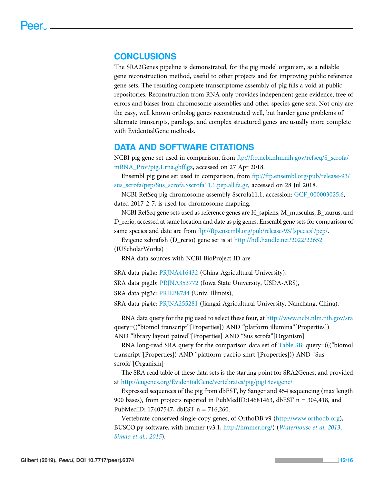# CONCLUSIONS

The SRA2Genes pipeline is demonstrated, for the pig model organism, as a reliable gene reconstruction method, useful to other projects and for improving public reference gene sets. The resulting complete transcriptome assembly of pig fills a void at public repositories. Reconstruction from RNA only provides independent gene evidence, free of errors and biases from chromosome assemblies and other species gene sets. Not only are the easy, well known ortholog genes reconstructed well, but harder gene problems of alternate transcripts, paralogs, and complex structured genes are usually more complete with EvidentialGene methods.

#### DATA AND SOFTWARE CITATIONS

NCBI pig gene set used in comparison, from [ftp://ftp.ncbi.nlm.nih.gov/refseq/S\\_scrofa/](ftp://ftp.ncbi.nlm.nih.gov/refseq/S_scrofa/mRNA_Prot/pig.1.rna.gbff.gz) [mRNA\\_Prot/pig.1.rna.gbff.gz,](ftp://ftp.ncbi.nlm.nih.gov/refseq/S_scrofa/mRNA_Prot/pig.1.rna.gbff.gz) accessed on 27 Apr 2018.

Ensembl pig gene set used in comparison, from [ftp://ftp.ensembl.org/pub/release-93/](ftp://ftp.ensembl.org/pub/release-93/sus_scrofa/pep/Sus_scrofa.Sscrofa11.1.pep.all.fa.gz) [sus\\_scrofa/pep/Sus\\_scrofa.Sscrofa11.1.pep.all.fa.gz](ftp://ftp.ensembl.org/pub/release-93/sus_scrofa/pep/Sus_scrofa.Sscrofa11.1.pep.all.fa.gz), accessed on 28 Jul 2018.

NCBI RefSeq pig chromosome assembly Sscrofa11.1, accession: [GCF\\_000003025.6,](https://www.ncbi.nlm.nih.gov/assembly/GCF_000003025.6/) dated 2017-2-7, is used for chromosome mapping.

NCBI RefSeq gene sets used as reference genes are H\_sapiens, M\_musculus, B\_taurus, and D\_rerio, accessed at same location and date as pig genes. Ensembl gene sets for comparison of same species and date are from <ftp://ftp.ensembl.org/pub/release-93/{species}/pep/>.

Evigene zebrafish (D\_rerio) gene set is at <http://hdl.handle.net/2022/22652> (IUScholarWorks)

RNA data sources with NCBI BioProject ID are

SRA data pig1a: [PRJNA416432](https://www.ncbi.nlm.nih.gov/bioproject/?term=PRJNA416432) (China Agricultural University),

SRA data pig2b: [PRJNA353772](https://www.ncbi.nlm.nih.gov/bioproject/?term=PRJNA353772) (Iowa State University, USDA-ARS),

SRA data pig3c: [PRJEB8784](https://www.ncbi.nlm.nih.gov/bioproject/?term=PRJEB8784) (Univ. Illinois),

SRA data pig4e: [PRJNA255281](https://www.ncbi.nlm.nih.gov/bioproject/?term=PRJNA255281) (Jiangxi Agricultural University, Nanchang, China).

RNA data query for the pig used to select these four, at <http://www.ncbi.nlm.nih.gov/sra> query=(("biomol transcript"[Properties]) AND "platform illumina"[Properties]) AND "library layout paired"[Properties] AND "Sus scrofa"[Organism]

RNA long-read SRA query for the comparison data set of [Table 3B:](#page-7-0) query=((("biomol transcript"[Properties]) AND "platform pacbio smrt"[Properties])) AND "Sus scrofa"[Organism]

The SRA read table of these data sets is the starting point for SRA2Genes, and provided at <http://eugenes.org/EvidentialGene/vertebrates/pig/pig18evigene/>

Expressed sequences of the pig from dbEST, by Sanger and 454 sequencing (max length 900 bases), from projects reported in PubMedID:14681463, dbEST n = 304,418, and PubMedID: 17407547, dbEST n = 716,260.

Vertebrate conserved single-copy genes, of OrthoDB v9 ([http://www.orthodb.org\)](http://www.orthodb.org), BUSCO.py software, with hmmer (v3.1, <http://hmmer.org/>) ([Waterhouse et al. 2013](#page-15-9), [Simao et al., 2015](#page-15-2)).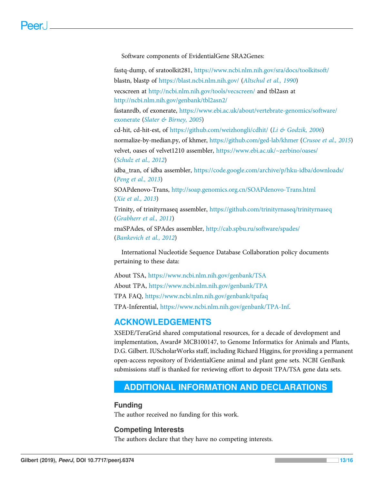Software components of EvidentialGene SRA2Genes:

fastq-dump, of sratoolkit281, <https://www.ncbi.nlm.nih.gov/sra/docs/toolkitsoft/> blastn, blastp of <https://blast.ncbi.nlm.nih.gov/> ([Altschul et al., 1990](#page-13-6)) vecscreen at <http://ncbi.nlm.nih.gov/tools/vecscreen/> and tbl2asn at <http://ncbi.nlm.nih.gov/genbank/tbl2asn2/> fastanrdb, of exonerate, [https://www.ebi.ac.uk/about/vertebrate-genomics/software/](https://www.ebi.ac.uk/about/vertebrate-genomics/software/exonerate) [exonerate](https://www.ebi.ac.uk/about/vertebrate-genomics/software/exonerate) ([Slater & Birney, 2005](#page-15-10)) cd-hit, cd-hit-est, of <https://github.com/weizhongli/cdhit/> ([Li & Godzik, 2006](#page-14-9)) normalize-by-median.py, of khmer, <https://github.com/ged-lab/khmer> ([Crusoe et al., 2015](#page-13-5)) velvet, oases of velvet1210 assembler, <https://www.ebi.ac.uk/~zerbino/oases/> ([Schulz et al., 2012](#page-14-7)) idba\_tran, of idba assembler, <https://code.google.com/archive/p/hku-idba/downloads/> ([Peng et al., 2013](#page-14-8)) SOAPdenovo-Trans, <http://soap.genomics.org.cn/SOAPdenovo-Trans.html> ([Xie et al., 2013](#page-15-5)) Trinity, of trinityrnaseq assembler, <https://github.com/trinityrnaseq/trinityrnaseq> ([Grabherr et al., 2011](#page-14-4)) rnaSPAdes, of SPAdes assembler, <http://cab.spbu.ru/software/spades/> ([Bankevich et al., 2012](#page-13-4))

International Nucleotide Sequence Database Collaboration policy documents pertaining to these data:

About TSA, <https://www.ncbi.nlm.nih.gov/genbank/TSA> About TPA, <https://www.ncbi.nlm.nih.gov/genbank/TPA> TPA FAQ, <https://www.ncbi.nlm.nih.gov/genbank/tpafaq> TPA-Inferential, <https://www.ncbi.nlm.nih.gov/genbank/TPA-Inf>.

# ACKNOWLEDGEMENTS

XSEDE/TeraGrid shared computational resources, for a decade of development and implementation, Award# MCB100147, to Genome Informatics for Animals and Plants, D.G. Gilbert. IUScholarWorks staff, including Richard Higgins, for providing a permanent open-access repository of EvidentialGene animal and plant gene sets. NCBI GenBank submissions staff is thanked for reviewing effort to deposit TPA/TSA gene data sets.

# <span id="page-12-0"></span>ADDITIONAL INFORMATION AND DECLARATIONS

#### Funding

The author received no funding for this work.

#### Competing Interests

The authors declare that they have no competing interests.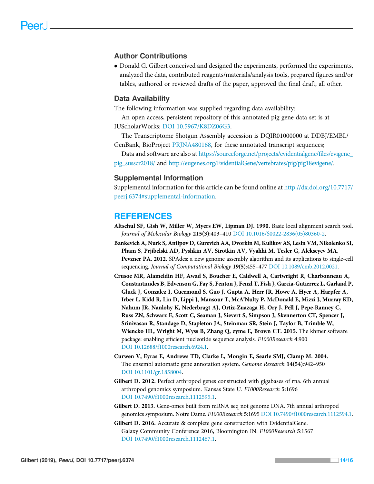#### Author Contributions

 Donald G. Gilbert conceived and designed the experiments, performed the experiments, analyzed the data, contributed reagents/materials/analysis tools, prepared figures and/or tables, authored or reviewed drafts of the paper, approved the final draft, all other.

#### Data Availability

The following information was supplied regarding data availability:

An open access, persistent repository of this annotated pig gene data set is at IUScholarWorks: [DOI 10.5967/K8DZ06G3](http://dx.doi.org/10.5967/K8DZ06G3).

The Transcriptome Shotgun Assembly accession is DQIR01000000 at DDBJ/EMBL/ GenBank, BioProject [PRJNA480168,](https://www.ncbi.nlm.nih.gov/bioproject/?term=PRJNA480168) for these annotated transcript sequences;

Data and software are also at [https://sourceforge.net/projects/evidentialgene/](https://sourceforge.net/projects/evidentialgene/files/evigene_pig_susscr2018/)files/evigene\_ [pig\\_susscr2018/](https://sourceforge.net/projects/evidentialgene/files/evigene_pig_susscr2018/) and <http://eugenes.org/EvidentialGene/vertebrates/pig/pig18evigene/>.

#### Supplemental Information

Supplemental information for this article can be found online at [http://dx.doi.org/10.7717/](http://dx.doi.org/10.7717/peerj.6374#supplemental-information) [peerj.6374#supplemental-information](http://dx.doi.org/10.7717/peerj.6374#supplemental-information).

#### <span id="page-13-6"></span>**REFERENCES**

- Altschul SF, Gish W, Miller W, Myers EW, Lipman DJ. 1990. Basic local alignment search tool. Journal of Molecular Biology 215(3):403–410 [DOI 10.1016/S0022-2836\(05\)80360-2.](http://dx.doi.org/10.1016/S0022-2836(05)80360-2)
- <span id="page-13-4"></span>Bankevich A, Nurk S, Antipov D, Gurevich AA, Dvorkin M, Kulikov AS, Lesin VM, Nikolenko SI, Pham S, Prjibelski AD, Pyshkin AV, Sirotkin AV, Vyahhi M, Tesler G, Alekseyev MA, Pevzner PA. 2012. SPAdes: a new genome assembly algorithm and its applications to single-cell sequencing. Journal of Computational Biology 19(5):455–477 [DOI 10.1089/cmb.2012.0021.](http://dx.doi.org/10.1089/cmb.2012.0021)
- <span id="page-13-5"></span>Crusoe MR, Alameldin HF, Awad S, Boucher E, Caldwell A, Cartwright R, Charbonneau A, Constantinides B, Edvenson G, Fay S, Fenton J, Fenzl T, Fish J, Garcia-Gutierrez L, Garland P, Gluck J, Gonzalez I, Guermond S, Guo J, Gupta A, Herr JR, Howe A, Hyer A, Harpfer A, Irber L, Kidd R, Lin D, Lippi J, Mansour T, McA'Nulty P, McDonald E, Mizzi J, Murray KD, Nahum JR, Nanlohy K, Nederbragt AJ, Ortiz-Zuazaga H, Ory J, Pell J, Pepe-Ranney C, Russ ZN, Schwarz E, Scott C, Seaman J, Sievert S, Simpson J, Skennerton CT, Spencer J, Srinivasan R, Standage D, Stapleton JA, Steinman SR, Stein J, Taylor B, Trimble W, Wiencko HL, Wright M, Wyss B, Zhang Q, zyme E, Brown CT. 2015. The khmer software package: enabling efficient nucleotide sequence analysis. F1000Research 4:900 [DOI 10.12688/f1000research.6924.1.](http://dx.doi.org/10.12688/f1000research.6924.1)
- <span id="page-13-3"></span>Curwen V, Eyras E, Andrews TD, Clarke L, Mongin E, Searle SMJ, Clamp M. 2004. The ensembl automatic gene annotation system. Genome Research 14(54):942–950 [DOI 10.1101/gr.1858004.](http://dx.doi.org/10.1101/gr.1858004)
- <span id="page-13-0"></span>Gilbert D. 2012. Perfect arthropod genes constructed with gigabases of rna. 6th annual arthropod genomics symposium. Kansas State U. F1000Research 5:1696 [DOI 10.7490/f1000research.1112595.1.](http://dx.doi.org/10.7490/f1000research.1112595.1)
- <span id="page-13-1"></span>Gilbert D. 2013. Gene-omes built from mRNA seq not genome DNA. 7th annual arthropod genomics symposium. Notre Dame. F1000Research 5:1695 [DOI 10.7490/f1000research.1112594.1.](http://dx.doi.org/10.7490/f1000research.1112594.1)
- <span id="page-13-2"></span>Gilbert D. 2016. Accurate & complete gene construction with EvidentialGene. Galaxy Community Conference 2016, Bloomington IN. F1000Research 5:1567 [DOI 10.7490/f1000research.1112467.1.](http://dx.doi.org/10.7490/f1000research.1112467.1)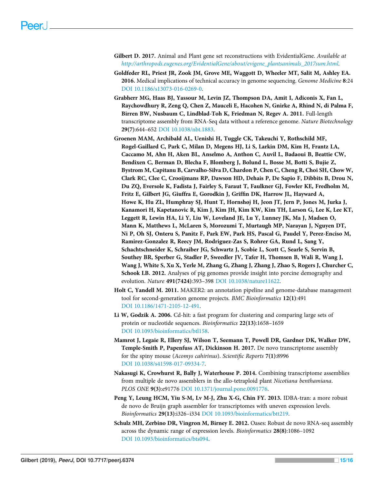- <span id="page-14-2"></span>Gilbert D. 2017. Animal and Plant gene set reconstructions with EvidentialGene. Available at [http://arthropods.eugenes.org/EvidentialGene/about/evigene\\_plantsanimals\\_2017sum.html](http://arthropods.eugenes.org/EvidentialGene/about/evigene_plantsanimals_2017sum.html).
- <span id="page-14-0"></span>Goldfeder RL, Priest JR, Zook JM, Grove ME, Waggott D, Wheeler MT, Salit M, Ashley EA. 2016. Medical implications of technical accuracy in genome sequencing. Genome Medicine 8:24 [DOI 10.1186/s13073-016-0269-0](http://dx.doi.org/10.1186/s13073-016-0269-0).
- <span id="page-14-4"></span>Grabherr MG, Haas BJ, Yassour M, Levin JZ, Thompson DA, Amit I, Adiconis X, Fan L, Raychowdhury R, Zeng Q, Chen Z, Mauceli E, Hacohen N, Gnirke A, Rhind N, di Palma F, Birren BW, Nusbaum C, Lindblad-Toh K, Friedman N, Regev A. 2011. Full-length transcriptome assembly from RNA-Seq data without a reference genome. Nature Biotechnology 29(7):644–652 [DOI 10.1038/nbt.1883](http://dx.doi.org/10.1038/nbt.1883).
- <span id="page-14-1"></span>Groenen MAM, Archibald AL, Uenishi H, Tuggle CK, Takeuchi Y, Rothschild MF, Rogel-Gaillard C, Park C, Milan D, Megens HJ, Li S, Larkin DM, Kim H, Frantz LA, Caccamo M, Ahn H, Aken BL, Anselmo A, Anthon C, Auvil L, Badaoui B, Beattie CW, Bendixen C, Berman D, Blecha F, Blomberg J, Bolund L, Bosse M, Botti S, Bujie Z, Bystrom M, Capitanu B, Carvalho-Silva D, Chardon P, Chen C, Cheng R, Choi SH, Chow W, Clark RC, Clee C, Crooijmans RP, Dawson HD, Dehais P, De Sapio F, Dibbits B, Drou N, Du ZQ, Eversole K, Fadista J, Fairley S, Faraut T, Faulkner GJ, Fowler KE, Fredholm M, Fritz E, Gilbert JG, Giuffra E, Gorodkin J, Griffin DK, Harrow JL, Hayward A, Howe K, Hu ZL, Humphray SJ, Hunt T, Hornshøj H, Jeon JT, Jern P, Jones M, Jurka J, Kanamori H, Kapetanovic R, Kim J, Kim JH, Kim KW, Kim TH, Larson G, Lee K, Lee KT, Leggett R, Lewin HA, Li Y, Liu W, Loveland JE, Lu Y, Lunney JK, Ma J, Madsen O, Mann K, Matthews L, McLaren S, Morozumi T, Murtaugh MP, Narayan J, Nguyen DT, Ni P, Oh SJ, Onteru S, Panitz F, Park EW, Park HS, Pascal G, Paudel Y, Perez-Enciso M, Ramirez-Gonzalez R, Reecy JM, Rodriguez-Zas S, Rohrer GA, Rund L, Sang Y, Schachtschneider K, Schraiber JG, Schwartz J, Scobie L, Scott C, Searle S, Servin B, Southey BR, Sperber G, Stadler P, Sweedler JV, Tafer H, Thomsen B, Wali R, Wang J, Wang J, White S, Xu X, Yerle M, Zhang G, Zhang J, Zhang J, Zhao S, Rogers J, Churcher C, Schook LB. 2012. Analyses of pig genomes provide insight into porcine demography and evolution. Nature 491(7424):393–398 [DOI 10.1038/nature11622.](http://dx.doi.org/10.1038/nature11622)
- <span id="page-14-3"></span>Holt C, Yandell M. 2011. MAKER2: an annotation pipeline and genome-database management tool for second-generation genome projects. BMC Bioinformatics 12(1):491 [DOI 10.1186/1471-2105-12-491.](http://dx.doi.org/10.1186/1471-2105-12-491)
- <span id="page-14-9"></span>Li W, Godzik A. 2006. Cd-hit: a fast program for clustering and comparing large sets of protein or nucleotide sequences. Bioinformatics 22(13):1658–1659 [DOI 10.1093/bioinformatics/btl158](http://dx.doi.org/10.1093/bioinformatics/btl158).
- <span id="page-14-6"></span>Mamrot J, Legaie R, Ellery SJ, Wilson T, Seemann T, Powell DR, Gardner DK, Walker DW, Temple-Smith P, Papenfuss AT, Dickinson H. 2017. De novo transcriptome assembly for the spiny mouse (Acomys cahirinus). Scientific Reports 7(1):8996 [DOI 10.1038/s41598-017-09334-7](http://dx.doi.org/10.1038/s41598-017-09334-7).
- <span id="page-14-5"></span>Nakasugi K, Crowhurst R, Bally J, Waterhouse P. 2014. Combining transcriptome assemblies from multiple de novo assemblers in the allo-tetraploid plant Nicotiana benthamiana. PLOS ONE 9(3):e91776 [DOI 10.1371/journal.pone.0091776](http://dx.doi.org/10.1371/journal.pone.0091776).
- <span id="page-14-8"></span>Peng Y, Leung HCM, Yiu S-M, Lv M-J, Zhu X-G, Chin FY. 2013. IDBA-tran: a more robust de novo de Bruijn graph assembler for transcriptomes with uneven expression levels. Bioinformatics 29(13):i326–i334 [DOI 10.1093/bioinformatics/btt219](http://dx.doi.org/10.1093/bioinformatics/btt219).
- <span id="page-14-7"></span>Schulz MH, Zerbino DR, Vingron M, Birney E. 2012. Oases: Robust de novo RNA-seq assembly across the dynamic range of expression levels. Bioinformatics 28(8):1086–1092 [DOI 10.1093/bioinformatics/bts094](http://dx.doi.org/10.1093/bioinformatics/bts094).